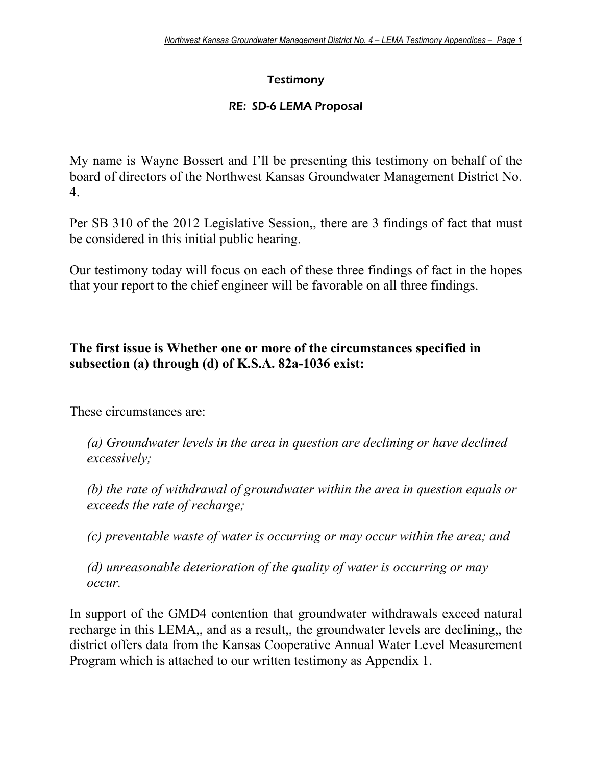# **Testimony**

#### RE: SD-6 LEMA Proposal

My name is Wayne Bossert and I'll be presenting this testimony on behalf of the board of directors of the Northwest Kansas Groundwater Management District No. 4.

Per SB 310 of the 2012 Legislative Session,, there are 3 findings of fact that must be considered in this initial public hearing.

Our testimony today will focus on each of these three findings of fact in the hopes that your report to the chief engineer will be favorable on all three findings.

# **The first issue is Whether one or more of the circumstances specified in subsection (a) through (d) of K.S.A. 82a-1036 exist:**

These circumstances are:

*(a) Groundwater levels in the area in question are declining or have declined excessively;* 

*(b) the rate of withdrawal of groundwater within the area in question equals or exceeds the rate of recharge;* 

*(c) preventable waste of water is occurring or may occur within the area; and* 

*(d) unreasonable deterioration of the quality of water is occurring or may occur.* 

In support of the GMD4 contention that groundwater withdrawals exceed natural recharge in this LEMA,, and as a result,, the groundwater levels are declining,, the district offers data from the Kansas Cooperative Annual Water Level Measurement Program which is attached to our written testimony as Appendix 1.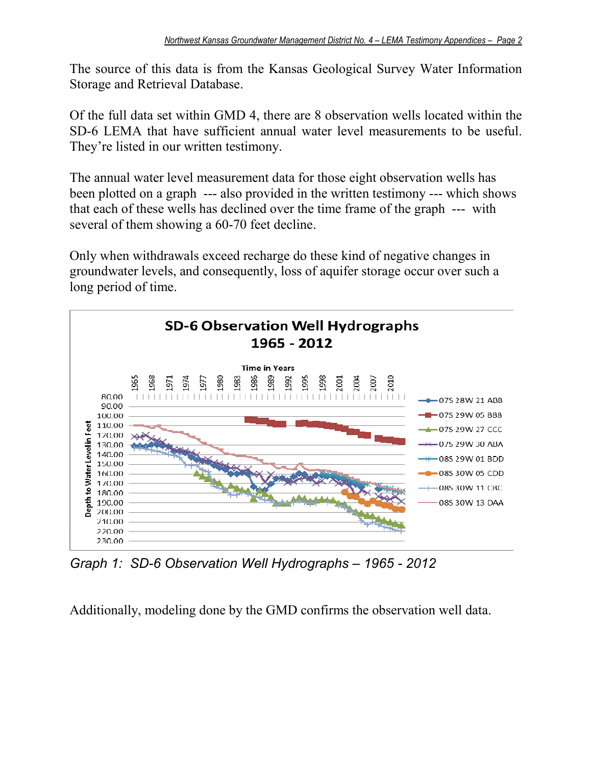The source of this data is from the Kansas Geological Survey Water Information Storage and Retrieval Database.

Of the full data set within GMD 4, there are 8 observation wells located within the SD-6 LEMA that have sufficient annual water level measurements to be useful. They're listed in our written testimony.

The annual water level measurement data for those eight observation wells has been plotted on a graph --- also provided in the written testimony --- which shows that each of these wells has declined over the time frame of the graph --- with several of them showing a 60-70 feet decline.

Only when withdrawals exceed recharge do these kind of negative changes in groundwater levels, and consequently, loss of aquifer storage occur over such a long period of time.



*Graph 1: SD-6 Observation Well Hydrographs – 1965 - 2012* 

Additionally, modeling done by the GMD confirms the observation well data.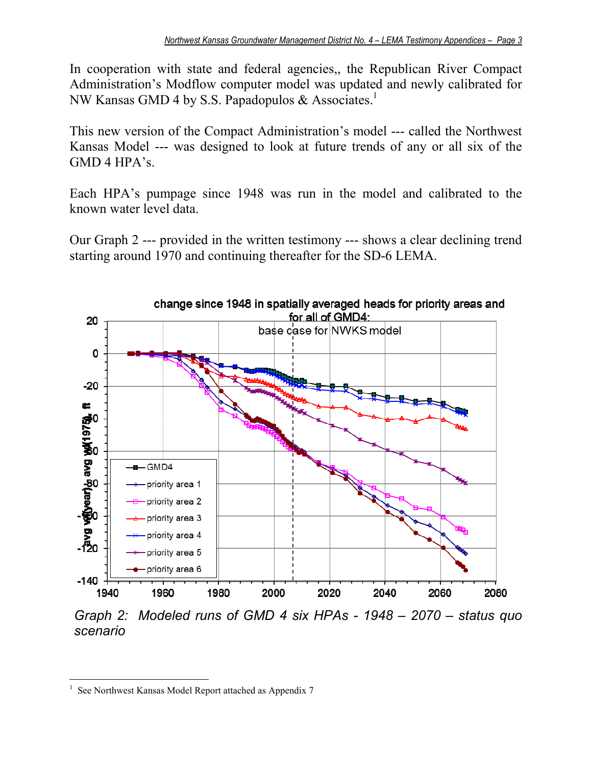In cooperation with state and federal agencies,, the Republican River Compact Administration's Modflow computer model was updated and newly calibrated for NW Kansas GMD 4 by S.S. Papadopulos & Associates.<sup>1</sup>

This new version of the Compact Administration's model --- called the Northwest Kansas Model --- was designed to look at future trends of any or all six of the GMD 4 HPA's.

Each HPA's pumpage since 1948 was run in the model and calibrated to the known water level data.

Our Graph 2 --- provided in the written testimony --- shows a clear declining trend starting around 1970 and continuing thereafter for the SD-6 LEMA.



*scenario* 

<sup>&</sup>lt;u>.</u> 1 See Northwest Kansas Model Report attached as Appendix 7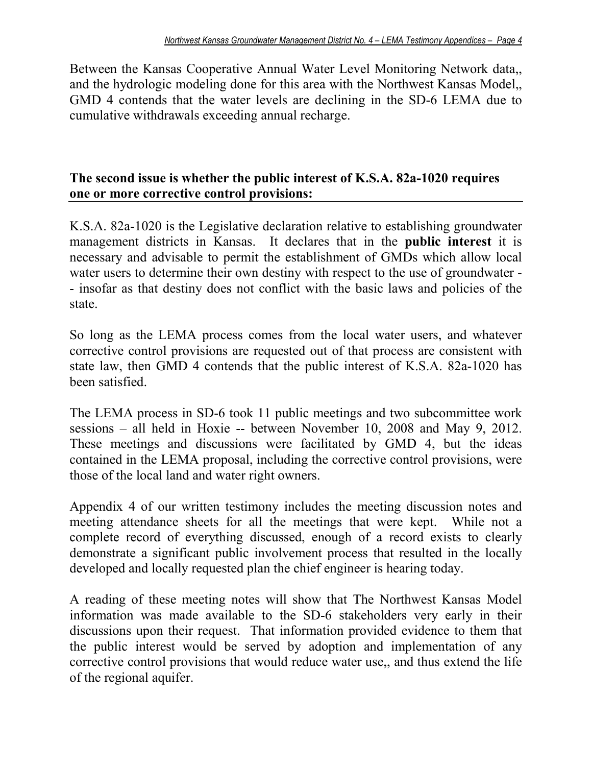Between the Kansas Cooperative Annual Water Level Monitoring Network data,, and the hydrologic modeling done for this area with the Northwest Kansas Model,, GMD 4 contends that the water levels are declining in the SD-6 LEMA due to cumulative withdrawals exceeding annual recharge.

## **The second issue is whether the public interest of K.S.A. 82a-1020 requires one or more corrective control provisions:**

K.S.A. 82a-1020 is the Legislative declaration relative to establishing groundwater management districts in Kansas. It declares that in the **public interest** it is necessary and advisable to permit the establishment of GMDs which allow local water users to determine their own destiny with respect to the use of groundwater - - insofar as that destiny does not conflict with the basic laws and policies of the state.

So long as the LEMA process comes from the local water users, and whatever corrective control provisions are requested out of that process are consistent with state law, then GMD 4 contends that the public interest of K.S.A. 82a-1020 has been satisfied.

The LEMA process in SD-6 took 11 public meetings and two subcommittee work sessions – all held in Hoxie -- between November 10, 2008 and May 9, 2012. These meetings and discussions were facilitated by GMD 4, but the ideas contained in the LEMA proposal, including the corrective control provisions, were those of the local land and water right owners.

Appendix 4 of our written testimony includes the meeting discussion notes and meeting attendance sheets for all the meetings that were kept. While not a complete record of everything discussed, enough of a record exists to clearly demonstrate a significant public involvement process that resulted in the locally developed and locally requested plan the chief engineer is hearing today.

A reading of these meeting notes will show that The Northwest Kansas Model information was made available to the SD-6 stakeholders very early in their discussions upon their request. That information provided evidence to them that the public interest would be served by adoption and implementation of any corrective control provisions that would reduce water use,, and thus extend the life of the regional aquifer.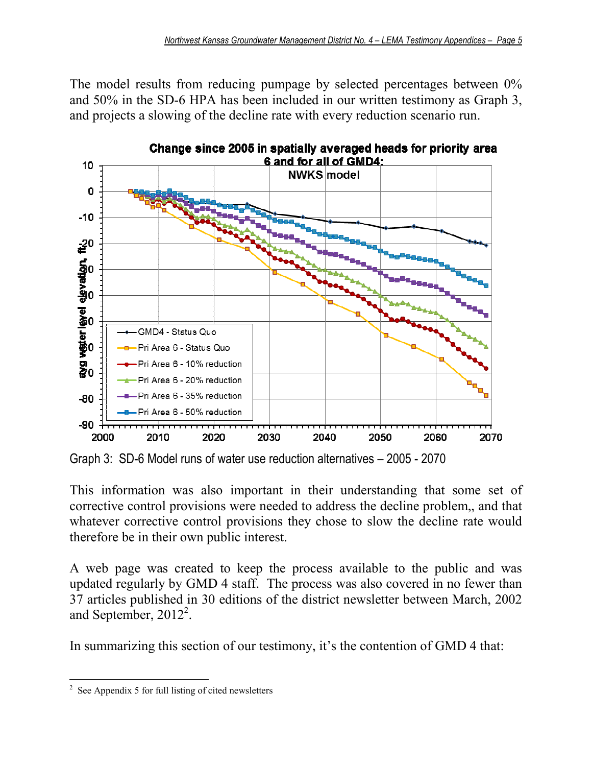The model results from reducing pumpage by selected percentages between 0% and 50% in the SD-6 HPA has been included in our written testimony as Graph 3, and projects a slowing of the decline rate with every reduction scenario run.



Graph 3: SD-6 Model runs of water use reduction alternatives – 2005 - 2070

This information was also important in their understanding that some set of corrective control provisions were needed to address the decline problem,, and that whatever corrective control provisions they chose to slow the decline rate would therefore be in their own public interest.

A web page was created to keep the process available to the public and was updated regularly by GMD 4 staff. The process was also covered in no fewer than 37 articles published in 30 editions of the district newsletter between March, 2002 and September,  $2012^2$ .

In summarizing this section of our testimony, it's the contention of GMD 4 that:

<sup>&</sup>lt;u>.</u>  $2^2$  See Appendix 5 for full listing of cited newsletters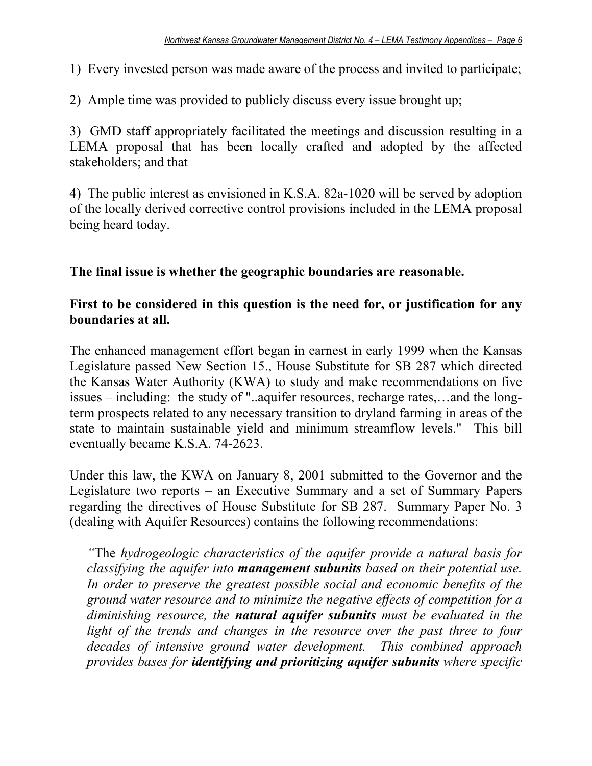- 1) Every invested person was made aware of the process and invited to participate;
- 2) Ample time was provided to publicly discuss every issue brought up;

3) GMD staff appropriately facilitated the meetings and discussion resulting in a LEMA proposal that has been locally crafted and adopted by the affected stakeholders; and that

4) The public interest as envisioned in K.S.A. 82a-1020 will be served by adoption of the locally derived corrective control provisions included in the LEMA proposal being heard today.

# **The final issue is whether the geographic boundaries are reasonable.**

# **First to be considered in this question is the need for, or justification for any boundaries at all.**

The enhanced management effort began in earnest in early 1999 when the Kansas Legislature passed New Section 15., House Substitute for SB 287 which directed the Kansas Water Authority (KWA) to study and make recommendations on five issues – including: the study of "..aquifer resources, recharge rates,…and the longterm prospects related to any necessary transition to dryland farming in areas of the state to maintain sustainable yield and minimum streamflow levels." This bill eventually became K.S.A. 74-2623.

Under this law, the KWA on January 8, 2001 submitted to the Governor and the Legislature two reports – an Executive Summary and a set of Summary Papers regarding the directives of House Substitute for SB 287. Summary Paper No. 3 (dealing with Aquifer Resources) contains the following recommendations:

*"*The *hydrogeologic characteristics of the aquifer provide a natural basis for classifying the aquifer into management subunits based on their potential use. In order to preserve the greatest possible social and economic benefits of the ground water resource and to minimize the negative effects of competition for a diminishing resource, the natural aquifer subunits must be evaluated in the*  light of the trends and changes in the resource over the past three to four *decades of intensive ground water development. This combined approach provides bases for identifying and prioritizing aquifer subunits where specific*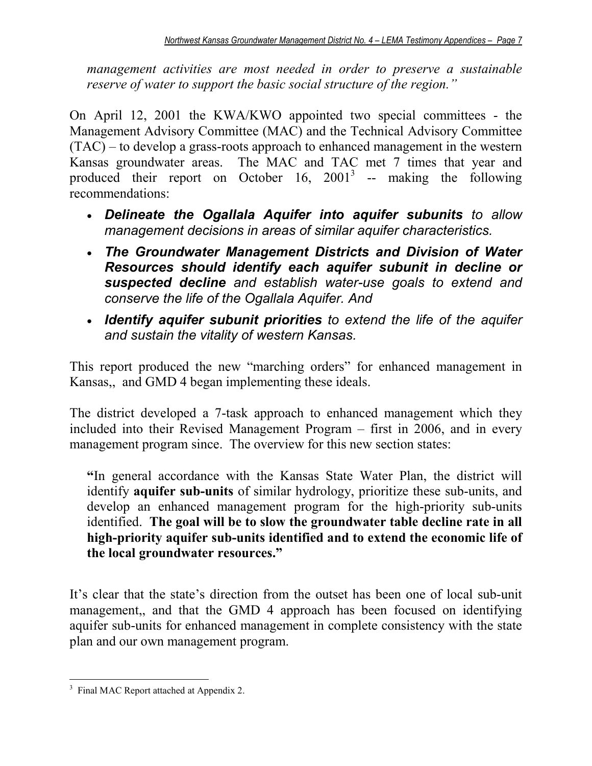*management activities are most needed in order to preserve a sustainable reserve of water to support the basic social structure of the region."* 

On April 12, 2001 the KWA/KWO appointed two special committees - the Management Advisory Committee (MAC) and the Technical Advisory Committee (TAC) – to develop a grass-roots approach to enhanced management in the western Kansas groundwater areas. The MAC and TAC met 7 times that year and produced their report on October  $16$ ,  $2001^3$  -- making the following recommendations:

- *Delineate the Ogallala Aquifer into aquifer subunits to allow management decisions in areas of similar aquifer characteristics.*
- *The Groundwater Management Districts and Division of Water Resources should identify each aquifer subunit in decline or suspected decline and establish water-use goals to extend and conserve the life of the Ogallala Aquifer. And*
- *Identify aquifer subunit priorities to extend the life of the aquifer and sustain the vitality of western Kansas.*

This report produced the new "marching orders" for enhanced management in Kansas,, and GMD 4 began implementing these ideals.

The district developed a 7-task approach to enhanced management which they included into their Revised Management Program – first in 2006, and in every management program since. The overview for this new section states:

**"**In general accordance with the Kansas State Water Plan, the district will identify **aquifer sub-units** of similar hydrology, prioritize these sub-units, and develop an enhanced management program for the high-priority sub-units identified. **The goal will be to slow the groundwater table decline rate in all high-priority aquifer sub-units identified and to extend the economic life of the local groundwater resources."** 

It's clear that the state's direction from the outset has been one of local sub-unit management,, and that the GMD 4 approach has been focused on identifying aquifer sub-units for enhanced management in complete consistency with the state plan and our own management program.

<sup>&</sup>lt;u>.</u> <sup>3</sup> Final MAC Report attached at Appendix 2.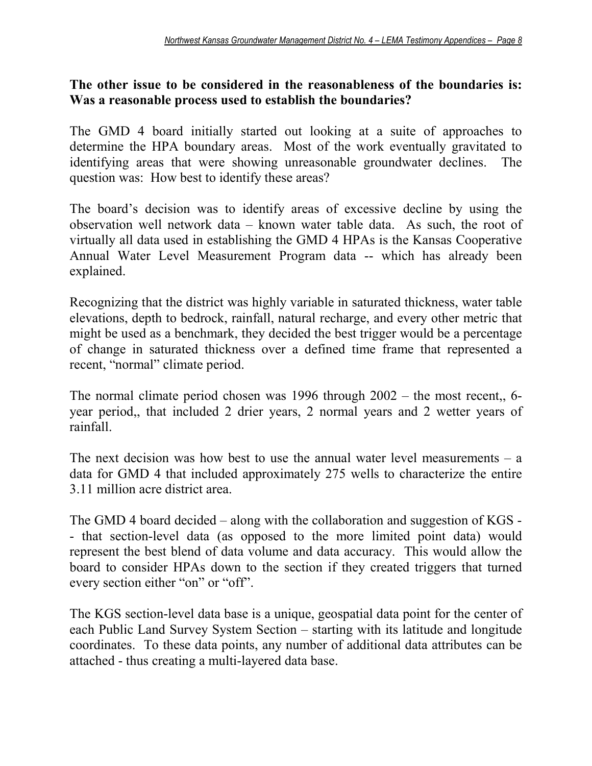## **The other issue to be considered in the reasonableness of the boundaries is: Was a reasonable process used to establish the boundaries?**

The GMD 4 board initially started out looking at a suite of approaches to determine the HPA boundary areas. Most of the work eventually gravitated to identifying areas that were showing unreasonable groundwater declines. The question was: How best to identify these areas?

The board's decision was to identify areas of excessive decline by using the observation well network data – known water table data. As such, the root of virtually all data used in establishing the GMD 4 HPAs is the Kansas Cooperative Annual Water Level Measurement Program data -- which has already been explained.

Recognizing that the district was highly variable in saturated thickness, water table elevations, depth to bedrock, rainfall, natural recharge, and every other metric that might be used as a benchmark, they decided the best trigger would be a percentage of change in saturated thickness over a defined time frame that represented a recent, "normal" climate period.

The normal climate period chosen was 1996 through 2002 – the most recent,, 6 year period,, that included 2 drier years, 2 normal years and 2 wetter years of rainfall.

The next decision was how best to use the annual water level measurements  $-$  a data for GMD 4 that included approximately 275 wells to characterize the entire 3.11 million acre district area.

The GMD 4 board decided – along with the collaboration and suggestion of KGS - - that section-level data (as opposed to the more limited point data) would represent the best blend of data volume and data accuracy. This would allow the board to consider HPAs down to the section if they created triggers that turned every section either "on" or "off".

The KGS section-level data base is a unique, geospatial data point for the center of each Public Land Survey System Section – starting with its latitude and longitude coordinates. To these data points, any number of additional data attributes can be attached - thus creating a multi-layered data base.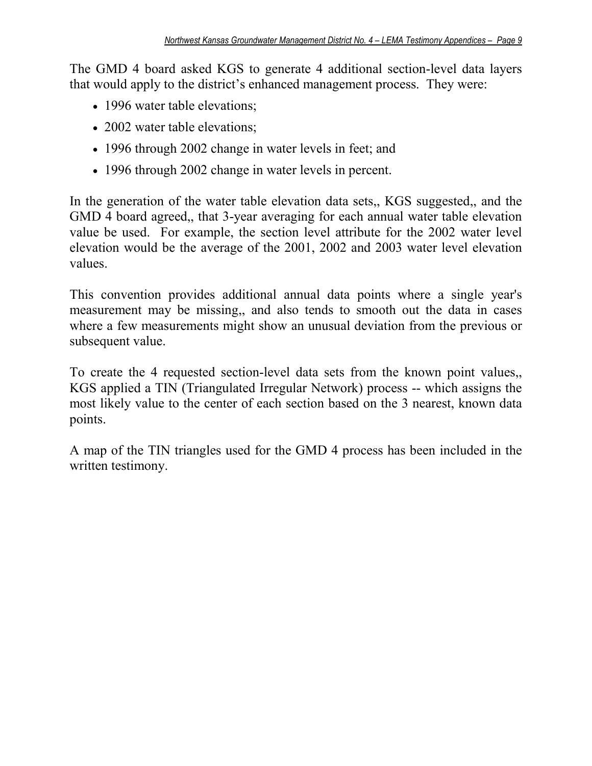The GMD 4 board asked KGS to generate 4 additional section-level data layers that would apply to the district's enhanced management process. They were:

- 1996 water table elevations;
- 2002 water table elevations;
- 1996 through 2002 change in water levels in feet; and
- 1996 through 2002 change in water levels in percent.

In the generation of the water table elevation data sets,, KGS suggested,, and the GMD 4 board agreed,, that 3-year averaging for each annual water table elevation value be used. For example, the section level attribute for the 2002 water level elevation would be the average of the 2001, 2002 and 2003 water level elevation values.

This convention provides additional annual data points where a single year's measurement may be missing,, and also tends to smooth out the data in cases where a few measurements might show an unusual deviation from the previous or subsequent value.

To create the 4 requested section-level data sets from the known point values,, KGS applied a TIN (Triangulated Irregular Network) process -- which assigns the most likely value to the center of each section based on the 3 nearest, known data points.

A map of the TIN triangles used for the GMD 4 process has been included in the written testimony.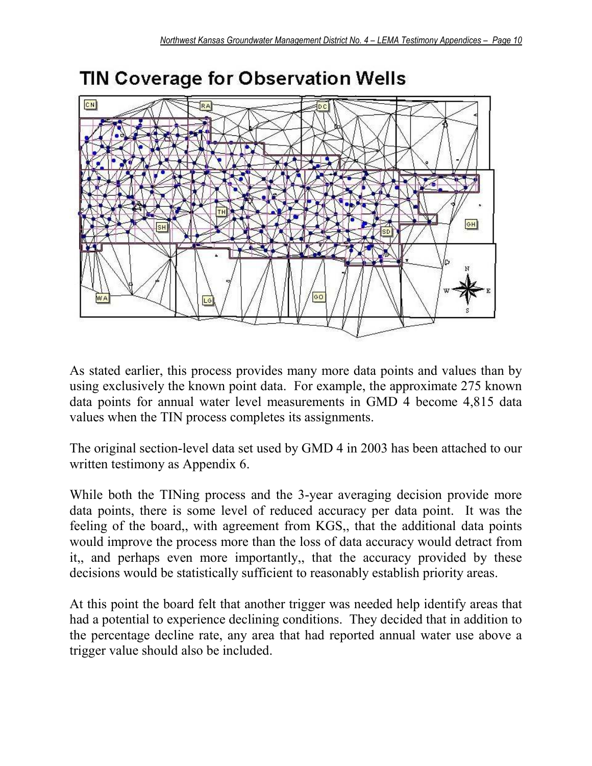

# **TIN Coverage for Observation Wells**

As stated earlier, this process provides many more data points and values than by using exclusively the known point data. For example, the approximate 275 known data points for annual water level measurements in GMD 4 become 4,815 data values when the TIN process completes its assignments.

The original section-level data set used by GMD 4 in 2003 has been attached to our written testimony as Appendix 6.

While both the TINing process and the 3-year averaging decision provide more data points, there is some level of reduced accuracy per data point. It was the feeling of the board,, with agreement from KGS,, that the additional data points would improve the process more than the loss of data accuracy would detract from it,, and perhaps even more importantly,, that the accuracy provided by these decisions would be statistically sufficient to reasonably establish priority areas.

At this point the board felt that another trigger was needed help identify areas that had a potential to experience declining conditions. They decided that in addition to the percentage decline rate, any area that had reported annual water use above a trigger value should also be included.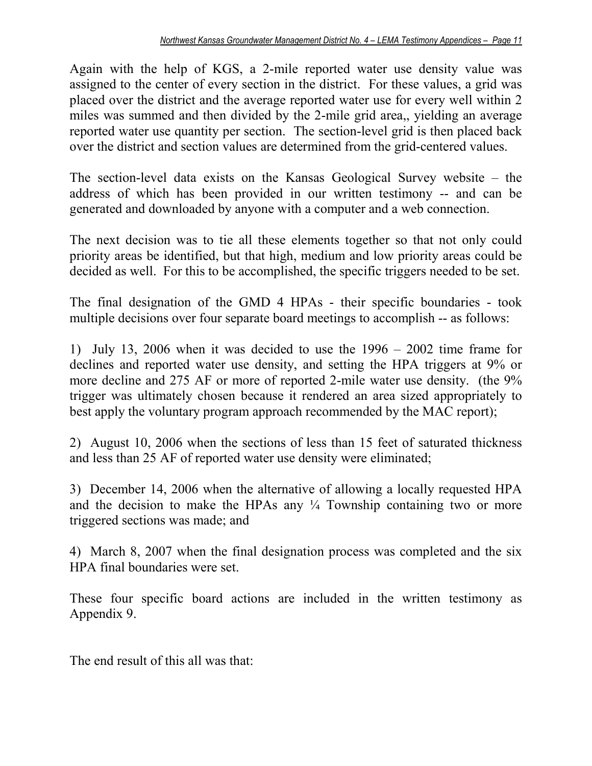Again with the help of KGS, a 2-mile reported water use density value was assigned to the center of every section in the district. For these values, a grid was placed over the district and the average reported water use for every well within 2 miles was summed and then divided by the 2-mile grid area,, yielding an average reported water use quantity per section. The section-level grid is then placed back over the district and section values are determined from the grid-centered values.

The section-level data exists on the Kansas Geological Survey website – the address of which has been provided in our written testimony -- and can be generated and downloaded by anyone with a computer and a web connection.

The next decision was to tie all these elements together so that not only could priority areas be identified, but that high, medium and low priority areas could be decided as well. For this to be accomplished, the specific triggers needed to be set.

The final designation of the GMD 4 HPAs - their specific boundaries - took multiple decisions over four separate board meetings to accomplish -- as follows:

1) July 13, 2006 when it was decided to use the 1996 – 2002 time frame for declines and reported water use density, and setting the HPA triggers at 9% or more decline and 275 AF or more of reported 2-mile water use density. (the 9% trigger was ultimately chosen because it rendered an area sized appropriately to best apply the voluntary program approach recommended by the MAC report);

2) August 10, 2006 when the sections of less than 15 feet of saturated thickness and less than 25 AF of reported water use density were eliminated;

3) December 14, 2006 when the alternative of allowing a locally requested HPA and the decision to make the HPAs any  $\frac{1}{4}$  Township containing two or more triggered sections was made; and

4) March 8, 2007 when the final designation process was completed and the six HPA final boundaries were set.

These four specific board actions are included in the written testimony as Appendix 9.

The end result of this all was that: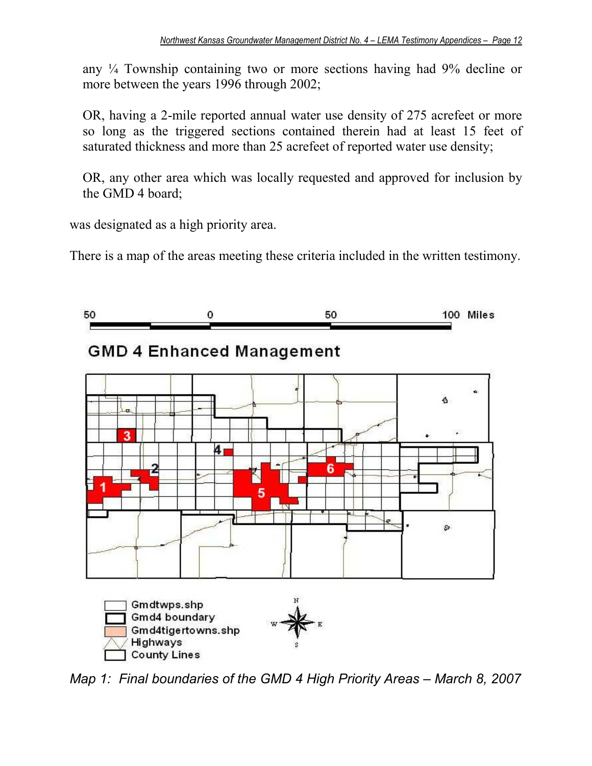any ¼ Township containing two or more sections having had 9% decline or more between the years 1996 through 2002;

OR, having a 2-mile reported annual water use density of 275 acrefeet or more so long as the triggered sections contained therein had at least 15 feet of saturated thickness and more than 25 acrefeet of reported water use density;

OR, any other area which was locally requested and approved for inclusion by the GMD 4 board;

was designated as a high priority area.

There is a map of the areas meeting these criteria included in the written testimony.







*Map 1: Final boundaries of the GMD 4 High Priority Areas – March 8, 2007*